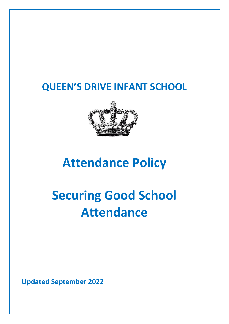# **QUEEN'S DRIVE INFANT SCHOOL**



# **Attendance Policy**

# **Securing Good School Attendance**

**Updated September 2022**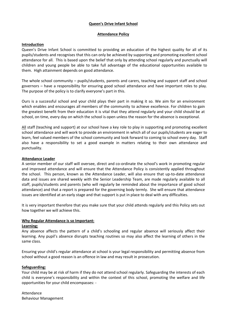#### **Queen's Drive Infant School**

#### **Attendance Policy**

#### **Introduction**

Queen's Drive Infant School is committed to providing an education of the highest quality for all of its pupils/students and recognises that this can only be achieved by supporting and promoting excellent school attendance for all. This is based upon the belief that only by attending school regularly and punctually will children and young people be able to take full advantage of the educational opportunities available to them. High attainment depends on good attendance.

The whole school community – pupils/students, parents and carers, teaching and support staff and school governors – have a responsibility for ensuring good school attendance and have important roles to play. The purpose of the policy is to clarify everyone's part in this.

Ours is a successful school and your child plays their part in making it so. We aim for an environment which enables and encourages all members of the community to achieve excellence. For children to gain the greatest benefit from their education it is vital that they attend regularly and your child should be at school, on time, every day on which the school is open unless the reason for the absence is exceptional.

All staff (teaching and support) at our school have a key role to play in supporting and promoting excellent school attendance and will work to provide an environment in which all of our pupils/students are eager to learn, feel valued members of the school community and look forward to coming to school every day. Staff also have a responsibility to set a good example in matters relating to their own attendance and punctuality.

#### **Attendance Leader**

A senior member of our staff will oversee, direct and co-ordinate the school's work in promoting regular and improved attendance and will ensure that the Attendance Policy is consistently applied throughout the school. This person, known as the Attendance Leader, will also ensure that up-to-date attendance data and issues are shared weekly with the Senior Leadership Team, are made regularly available to all staff, pupils/students and parents (who will regularly be reminded about the importance of good school attendance) and that a report is prepared for the governing body termly. She will ensure that attendance issues are identified at an early stage and that support is put in place to deal with any difficulties.

It is very important therefore that you make sure that your child attends regularly and this Policy sets out how together we will achieve this.

#### **Why Regular Attendance is so Important:**

#### **Learning:**

Any absence affects the pattern of a child's schooling and regular absence will seriously affect their learning. Any pupil's absence disrupts teaching routines so may also affect the learning of others in the same class.

Ensuring your child's regular attendance at school is your legal responsibility and permitting absence from school without a good reason is an offence in law and may result in prosecution.

#### **Safeguarding:**

Your child may be at risk of harm if they do not attend school regularly. Safeguarding the interests of each child is everyone's responsibility and within the context of this school, promoting the welfare and life opportunities for your child encompasses: -

Attendance Behaviour Management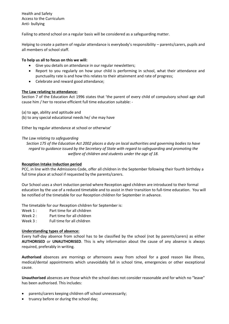Health and Safety Access to the Curriculum Anti- bullying

Failing to attend school on a regular basis will be considered as a safeguarding matter.

Helping to create a pattern of regular attendance is everybody's responsibility – parents/carers, pupils and all members of school staff.

#### **To help us all to focus on this we will:**

- Give you details on attendance in our regular newsletters;
- Report to you regularly on how your child is performing in school, what their attendance and punctuality rate is and how this relates to their attainment and rate of progress;
- Celebrate and reward good attendance;

#### **The Law relating to attendance:**

Section 7 of the Education Act 1996 states that 'the parent of every child of compulsory school age shall cause him / her to receive efficient full time education suitable: -

- (a) to age, ability and aptitude and
- (b) to any special educational needs he/ she may have

Either by regular attendance at school or otherwise'

#### *The Law relating to safeguarding*

*Section 175 of the Education Act 2002 places a duty on local authorities and governing bodies to have regard to guidance issued by the Secretary of State with regard to safeguarding and promoting the welfare of children and students under the age of 18.*

#### **Reception Intake Induction period**

PCC, in line with the Admissions Code, offer all children in the September following their fourth birthday a full time place at school if requested by the parents/carers.

Our School uses a short induction period where Reception aged children are introduced to their formal education by the use of a reduced timetable and to assist in their transition to full-time education. You will be notified of the timetable for our Reception children for September in advance.

The timetable for our Reception children for September is:

- Week 1: Part time for all children
- Week 2 : Part time for all children
- Week 3 : Full time for all children

#### **Understanding types of absence:**

Every half-day absence from school has to be classified by the school (not by parents/carers) as either **AUTHORISED** or **UNAUTHORISED**. This is why information about the cause of any absence is always required, preferably in writing.

**Authorised** absences are mornings or afternoons away from school for a good reason like illness, medical/dental appointments which unavoidably fall in school time, emergencies or other exceptional cause.

**Unauthorised** absences are those which the school does not consider reasonable and for which no "leave" has been authorised. This includes:

- parents/carers keeping children off school unnecessarily;
- truancy before or during the school day;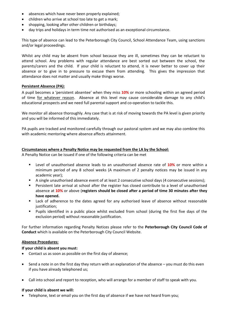- absences which have never been properly explained;
- children who arrive at school too late to get a mark;
- shopping, looking after other children or birthdays;
- day trips and holidays in term time not authorised as an exceptional circumstance.

This type of absence can lead to the Peterborough City Council, School Attendance Team, using sanctions and/or legal proceedings.

Whilst any child may be absent from school because they are ill, sometimes they can be reluctant to attend school. Any problems with regular attendance are best sorted out between the school, the parents/carers and the child. If your child is reluctant to attend, it is never better to cover up their absence or to give in to pressure to excuse them from attending. This gives the impression that attendance does not matter and usually make things worse.

#### **Persistent Absence (PA):**

A pupil becomes a 'persistent absentee' when they miss **10%** or more schooling within an agreed period of time for whatever reason. Absence at this level may cause considerable damage to any child's educational prospects and we need full parental support and co-operation to tackle this.

We monitor all absence thoroughly. Any case that is at risk of moving towards the PA level is given priority and you will be informed of this immediately.

PA pupils are tracked and monitored carefully through our pastoral system and we may also combine this with academic mentoring where absence affects attainment.

#### **Circumstances where a Penalty Notice may be requested from the LA by the School:**

A Penalty Notice can be issued if one of the following criteria can be met

- Level of unauthorised absence leads to an unauthorised absence rate of **10%** or more within a minimum period of any 8 school weeks (A maximum of 2 penalty notices may be issued in any academic year);
- A single unauthorised absence event of at least 2 consecutive school days (4 consecutive sessions);
- Persistent late arrival at school after the register has closed contribute to a level of unauthorised absence at **10%** or above (**registers should be closed after a period of time 30 minutes after they have opened.**
- Lack of adherence to the dates agreed for any authorised leave of absence without reasonable justification;
- Pupils identified in a public place whilst excluded from school (during the first five days of the exclusion period) without reasonable justification.

For further information regarding Penalty Notices please refer to the **Peterborough City Council Code of Conduct** which is available on the Peterborough City Council Website.

#### **Absence Procedures:**

#### **If your child is absent you must:**

- Contact us as soon as possible on the first day of absence;
- Send a note in on the first day they return with an explanation of the absence you must do this even if you have already telephoned us;
- Call into school and report to reception, who will arrange for a member of staff to speak with you.

#### **If your child is absent we will:**

• Telephone, text or email you on the first day of absence if we have not heard from you;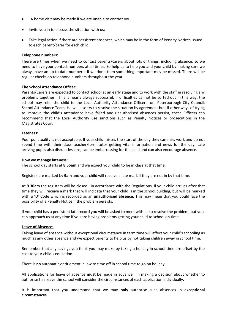- A home visit may be made if we are unable to contact you;
- Invite you in to discuss the situation with us;
- Take legal action if there are persistent absences, which may be in the form of Penalty Notices issued to each parent/carer for each child.

#### **Telephone numbers:**

There are times when we need to contact parents/carers about lots of things, including absence, so we need to have your contact numbers at all times. So help us to help you and your child by making sure we always have an up to date number – if we don't then something important may be missed. There will be regular checks on telephone numbers throughout the year.

#### **The School Attendance Officer:**

Parents/Carers are expected to contact school at an early stage and to work with the staff in resolving any problems together. This is nearly always successful. If difficulties cannot be sorted out in this way, the school may refer the child to the Local Authority Attendance Officer from Peterborough City Council, School Attendance Team. He will also try to resolve the situation by agreement but, if other ways of trying to improve the child's attendance have failed and unauthorised absences persist, these Officers can recommend that the Local Authority use sanctions such as Penalty Notices or prosecutions in the Magistrates Court

#### **Lateness:**

Poor punctuality is not acceptable. If your child misses the start of the day they can miss work and do not spend time with their class teacher/form tutor getting vital information and news for the day. Late arriving pupils also disrupt lessons, can be embarrassing for the child and can also encourage absence.

#### **How we manage lateness:**

The school day starts at **8.55am** and we expect your child to be in class at that time.

Registers are marked by **9am** and your child will receive a late mark if they are not in by that time.

At **9.30am** the registers will be closed. In accordance with the Regulations, if your child arrives after that time they will receive a mark that will indicate that your child is in the school building, but will be marked with a 'U' Code which is recorded as an **unauthorised absence**. This may mean that you could face the possibility of a Penalty Notice if the problem persists.

If your child has a persistent late record you will be asked to meet with us to resolve the problem, but you can approach us at any time if you are having problems getting your child to school on time.

#### **Leave of Absence:**

Taking leave of absence without exceptional circumstance in term time will affect your child's schooling as much as any other absence and we expect parents to help us by not taking children away in school time.

Remember that any savings you think you may make by taking a holiday in school time are offset by the cost to your child's education.

There is **no** automatic entitlement in law to time off in school time to go on holiday.

All applications for leave of absence **must** be made in advance. In making a decision about whether to authorise this leave the school will consider the circumstances of each application individually.

It is important that you understand that we may **only** authorise such absences in **exceptional circumstances.**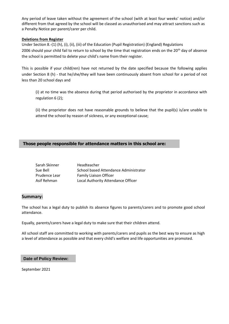Any period of leave taken without the agreement of the school (with at least four weeks' notice) and/or different from that agreed by the school will be classed as unauthorised and may attract sanctions such as a Penalty Notice per parent/carer per child.

#### **Deletions from Register**

Under Section 8.-(1) (h), (i), (ii), (iii) of the Education (Pupil Registration) (England) Regulations 2006 should your child fail to return to school by the time that registration ends on the 20<sup>th</sup> day of absence the school is permitted to delete your child's name from their register.

This is possible if your child(ren) have not returned by the date specified because the following applies under Section 8 (h) - that he/she/they will have been continuously absent from school for a period of not less than 20 school days and

(i) at no time was the absence during that period authorised by the proprietor in accordance with regulation 6 (2);

(ii) the proprietor does not have reasonable grounds to believe that the pupil(s) is/are unable to attend the school by reason of sickness, or any exceptional cause;

#### **Those people responsible for attendance matters in this school are:**

| Sarah Skinner | Headteacher                           |
|---------------|---------------------------------------|
| Sue Bell      | School based Attendance Administrator |
| Prudence Lear | <b>Family Liaison Officer</b>         |
| Asif Rehman   | Local Authority Attendance Officer    |

#### **Summary:**

The school has a legal duty to publish its absence figures to parents/carers and to promote good school attendance.

Equally, parents/carers have a legal duty to make sure that their children attend.

All school staff are committed to working with parents/carers and pupils as the best way to ensure as high a level of attendance as possible and that every child's welfare and life opportunities are promoted.

**Date of Policy Review:**

September 2021